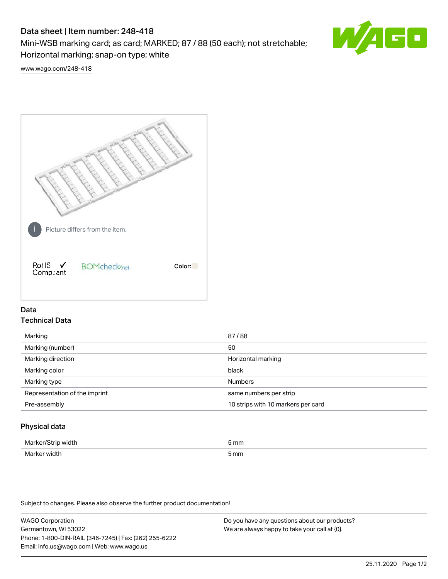# Data sheet | Item number: 248-418

Mini-WSB marking card; as card; MARKED; 87 / 88 (50 each); not stretchable; Horizontal marking; snap-on type; white



[www.wago.com/248-418](http://www.wago.com/248-418)



## Data Technical Data

| Marking                       | 87/88                              |
|-------------------------------|------------------------------------|
| Marking (number)              | 50                                 |
| Marking direction             | Horizontal marking                 |
| Marking color                 | black                              |
| Marking type                  | <b>Numbers</b>                     |
| Representation of the imprint | same numbers per strip             |
| Pre-assembly                  | 10 strips with 10 markers per card |
|                               |                                    |

## Physical data

| Mar                      | 5 mm |
|--------------------------|------|
| M <sub>cr</sub><br>width | 5 mm |

Subject to changes. Please also observe the further product documentation!

WAGO Corporation Germantown, WI 53022 Phone: 1-800-DIN-RAIL (346-7245) | Fax: (262) 255-6222 Email: info.us@wago.com | Web: www.wago.us Do you have any questions about our products? We are always happy to take your call at {0}.